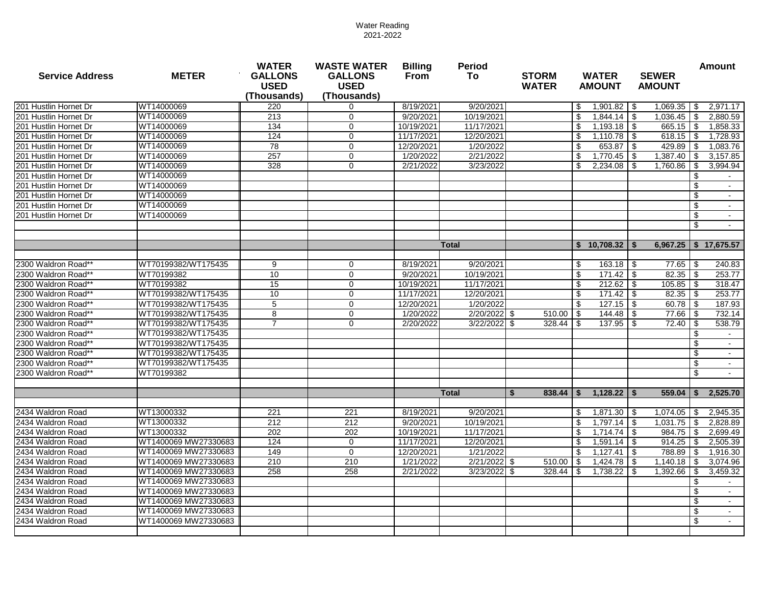| <b>Service Address</b> | <b>METER</b>         | <b>WATER</b><br><b>GALLONS</b><br><b>USED</b><br>(Thousands) | <b>WASTE WATER</b><br><b>GALLONS</b><br><b>USED</b><br>(Thousands) | <b>Billing</b><br><b>From</b> | <b>Period</b><br>To: | <b>STORM</b><br><b>WATER</b> |            | <b>WATER</b><br><b>AMOUNT</b> |      |                           |      | <b>SEWER</b><br><b>AMOUNT</b> |  | <b>Amount</b> |
|------------------------|----------------------|--------------------------------------------------------------|--------------------------------------------------------------------|-------------------------------|----------------------|------------------------------|------------|-------------------------------|------|---------------------------|------|-------------------------------|--|---------------|
| 201 Hustlin Hornet Dr  | WT14000069           | 220                                                          | 0                                                                  | 8/19/2021                     | 9/20/2021            |                              | -\$        |                               |      | $1,069.35$ \$             |      | 2,971.17                      |  |               |
| 201 Hustlin Hornet Dr  | WT14000069           | 213                                                          | $\Omega$                                                           | 9/20/2021                     | 10/19/2021           |                              | \$         |                               |      | $1,036.45$ \$             |      | 2.880.59                      |  |               |
| 201 Hustlin Hornet Dr  | WT14000069           | 134                                                          | $\mathbf 0$                                                        | 10/19/2021                    | 11/17/2021           |                              | \$         | 1,193.18                      | l \$ | $665.15$ \$               |      | 1,858.33                      |  |               |
| 201 Hustlin Hornet Dr  | WT14000069           | 124                                                          | $\Omega$                                                           | 11/17/2021                    | 12/20/2021           |                              | \$         | 1,110.78                      | -\$  |                           |      | 1,728.93                      |  |               |
| 201 Hustlin Hornet Dr  | WT14000069           | 78                                                           | $\mathbf 0$                                                        | 12/20/2021                    | 1/20/2022            |                              | \$         | 653.87                        | -\$  | 429.89                    | -\$  | 1,083.76                      |  |               |
| 201 Hustlin Hornet Dr  | WT14000069           | 257                                                          | $\mathbf 0$                                                        | 1/20/2022                     | 2/21/2022            |                              | \$         | 1,770.45                      | -\$  | $1,387.40$ \$             |      | 3,157.85                      |  |               |
| 201 Hustlin Hornet Dr  | WT14000069           | 328                                                          | $\mathbf{0}$                                                       | 2/21/2022                     | 3/23/2022            |                              | \$         | 2,234.08                      | -\$  |                           |      | 3,994.94                      |  |               |
| 201 Hustlin Hornet Dr  | WT14000069           |                                                              |                                                                    |                               |                      |                              |            |                               |      |                           | \$   |                               |  |               |
| 201 Hustlin Hornet Dr  | WT14000069           |                                                              |                                                                    |                               |                      |                              |            |                               |      |                           | \$   | $\sim$                        |  |               |
| 201 Hustlin Hornet Dr  | WT14000069           |                                                              |                                                                    |                               |                      |                              |            |                               |      |                           | \$   |                               |  |               |
| 201 Hustlin Hornet Dr  | WT14000069           |                                                              |                                                                    |                               |                      |                              |            |                               |      |                           | \$   |                               |  |               |
| 201 Hustlin Hornet Dr  | WT14000069           |                                                              |                                                                    |                               |                      |                              |            |                               |      |                           | \$   |                               |  |               |
|                        |                      |                                                              |                                                                    |                               |                      |                              |            |                               |      |                           | \$   |                               |  |               |
|                        |                      |                                                              |                                                                    |                               | <b>Total</b>         |                              |            | $$10,708.32$ \\$              |      | $6,967.25$   \$ 17,675.57 |      |                               |  |               |
|                        |                      |                                                              |                                                                    |                               |                      |                              |            |                               |      |                           |      |                               |  |               |
| 2300 Waldron Road**    | WT70199382/WT175435  | 9                                                            | 0                                                                  | 8/19/2021                     | 9/20/2021            |                              | \$         |                               |      |                           |      | 240.83                        |  |               |
| 2300 Waldron Road**    | WT70199382           | 10                                                           | $\mathbf 0$                                                        | 9/20/2021                     | 10/19/2021           |                              | \$         | 171.42                        | l \$ |                           |      | 253.77                        |  |               |
| 2300 Waldron Road**    | WT70199382           | 15                                                           | 0                                                                  | 10/19/2021                    | 11/17/2021           |                              | \$         | $212.62$ \$                   |      | $105.85$ \$               |      | 318.47                        |  |               |
| 2300 Waldron Road**    | WT70199382/WT175435  | 10                                                           | $\Omega$                                                           | 11/17/2021                    | 12/20/2021           |                              | \$         | $171.42$ \$                   |      |                           |      | 253.77                        |  |               |
| 2300 Waldron Road**    | WT70199382/WT175435  | 5                                                            | $\mathbf 0$                                                        | 12/20/2021                    | 1/20/2022            |                              | \$         | 127.15                        | l \$ |                           |      | 187.93                        |  |               |
| 2300 Waldron Road**    | WT70199382/WT175435  | 8                                                            | $\Omega$                                                           | 1/20/2022                     | 2/20/2022            | - \$<br>510.00               | -\$        | 144.48                        | - \$ | 77.66 \ \$                |      | 732.14                        |  |               |
| 2300 Waldron Road**    | WT70199382/WT175435  | $\overline{7}$                                               | $\mathbf 0$                                                        | 2/20/2022                     | 3/22/2022            | -\$<br>328.44                | -\$        | 137.95                        | -\$  | 72.40                     | l \$ | 538.79                        |  |               |
| 2300 Waldron Road**    | WT70199382/WT175435  |                                                              |                                                                    |                               |                      |                              |            |                               |      |                           | £.   |                               |  |               |
| 2300 Waldron Road**    | WT70199382/WT175435  |                                                              |                                                                    |                               |                      |                              |            |                               |      |                           | \$   |                               |  |               |
| 2300 Waldron Road**    | WT70199382/WT175435  |                                                              |                                                                    |                               |                      |                              |            |                               |      |                           | \$   |                               |  |               |
| 2300 Waldron Road**    | WT70199382/WT175435  |                                                              |                                                                    |                               |                      |                              |            |                               |      |                           | \$   |                               |  |               |
| 2300 Waldron Road**    | WT70199382           |                                                              |                                                                    |                               |                      |                              |            |                               |      |                           | \$   |                               |  |               |
|                        |                      |                                                              |                                                                    |                               | <b>Total</b>         | 838.44<br><b>S</b>           | \$         | 1,128.22                      | - \$ | 559.04                    | Ŝ.   | 2.525.70                      |  |               |
| 2434 Waldron Road      | WT13000332           | 221                                                          | 221                                                                | 8/19/2021                     | 9/20/2021            |                              | \$         |                               |      |                           |      | 2,945.35                      |  |               |
| 2434 Waldron Road      | WT13000332           | 212                                                          | 212                                                                | 9/20/2021                     | 10/19/2021           |                              | \$         |                               |      |                           |      | 2.828.89                      |  |               |
| 2434 Waldron Road      | WT13000332           | 202                                                          | 202                                                                | 10/19/2021                    | 11/17/2021           |                              | \$         | 1,714.74                      | -\$  | $984.75$ \\$              |      | 2,699.49                      |  |               |
| 2434 Waldron Road      | WT1400069 MW27330683 | 124                                                          | $\Omega$                                                           | 11/17/2021                    | 12/20/2021           |                              | \$         | 1,591.14                      | - \$ | 914.25                    | \$   | 2.505.39                      |  |               |
| 2434 Waldron Road      | WT1400069 MW27330683 | 149                                                          | $\Omega$                                                           | 12/20/2021                    | 1/21/2022            |                              | \$         | 1,127.41                      | -\$  | 788.89                    | \$   | 1,916.30                      |  |               |
| 2434 Waldron Road      | WT1400069 MW27330683 | 210                                                          | 210                                                                | 1/21/2022                     | 2/21/2022            | l \$<br>510.00               | -\$        | 1,424.78                      | -\$  |                           |      | 3,074.96                      |  |               |
| 2434 Waldron Road      | WT1400069 MW27330683 | 258                                                          | 258                                                                | 2/21/2022                     | 3/23/2022            | -\$<br>328.44                | $\sqrt{3}$ | 1,738.22                      | -\$  | $1,392.66$ \$             |      | 3,459.32                      |  |               |
| 2434 Waldron Road      | WT1400069 MW27330683 |                                                              |                                                                    |                               |                      |                              |            |                               |      |                           | \$   |                               |  |               |
| 2434 Waldron Road      | WT1400069 MW27330683 |                                                              |                                                                    |                               |                      |                              |            |                               |      |                           | \$   | $\sim$                        |  |               |
| 2434 Waldron Road      | WT1400069 MW27330683 |                                                              |                                                                    |                               |                      |                              |            |                               |      |                           | \$   |                               |  |               |
| 2434 Waldron Road      | WT1400069 MW27330683 |                                                              |                                                                    |                               |                      |                              |            |                               |      |                           | \$   |                               |  |               |
| 2434 Waldron Road      | WT1400069 MW27330683 |                                                              |                                                                    |                               |                      |                              |            |                               |      |                           | \$   | $\sim$                        |  |               |
|                        |                      |                                                              |                                                                    |                               |                      |                              |            |                               |      |                           |      |                               |  |               |
|                        |                      |                                                              |                                                                    |                               |                      |                              |            |                               |      |                           |      |                               |  |               |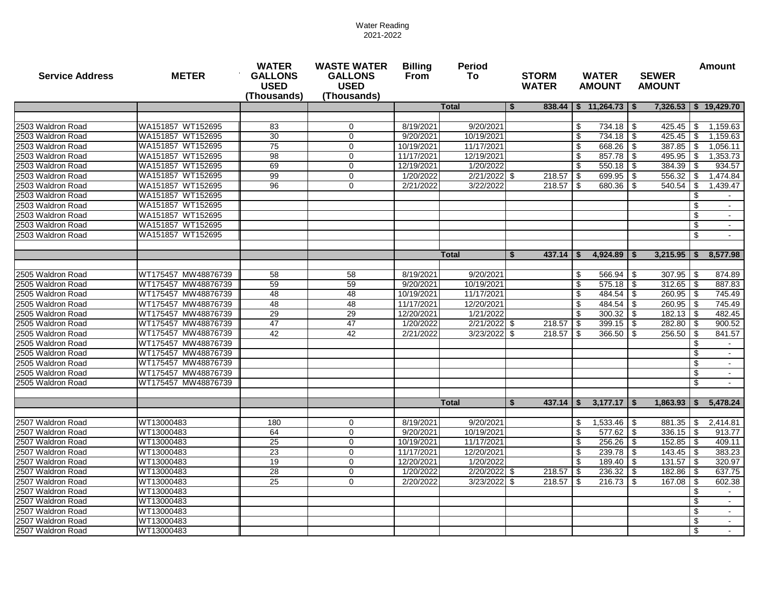| <b>Service Address</b> | <b>METER</b>        | <b>WATER</b><br><b>GALLONS</b><br><b>USED</b><br>(Thousands) | <b>WASTE WATER</b><br><b>GALLONS</b><br><b>USED</b><br>(Thousands) | <b>Billing</b><br><b>Period</b><br><b>From</b><br>To: |                | <b>STORM</b><br><b>WATER</b>  | <b>WATER</b><br><b>AMOUNT</b> |                              | <b>SEWER</b><br><b>AMOUNT</b> |     | <b>Amount</b>           |
|------------------------|---------------------|--------------------------------------------------------------|--------------------------------------------------------------------|-------------------------------------------------------|----------------|-------------------------------|-------------------------------|------------------------------|-------------------------------|-----|-------------------------|
|                        |                     |                                                              |                                                                    |                                                       | <b>Total</b>   | 5                             |                               | $838.44$   \$ 11,264.73   \$ |                               |     | 7,326.53   \$ 19,429.70 |
|                        |                     |                                                              |                                                                    |                                                       |                |                               |                               |                              |                               |     |                         |
| 2503 Waldron Road      | WA151857 WT152695   | 83                                                           | $\mathbf 0$                                                        | 8/19/2021                                             | 9/20/2021      |                               | \$                            | 734.18 \$                    | 425.45                        | \$  | 1,159.63                |
| 2503 Waldron Road      | WA151857 WT152695   | 30                                                           | $\Omega$                                                           | 9/20/2021                                             | 10/19/2021     |                               | \$                            | 734.18                       | l \$<br>425.45                | \$  | 1,159.63                |
| 2503 Waldron Road      | WA151857 WT152695   | 75                                                           | $\mathbf 0$                                                        | 10/19/2021                                            | 11/17/2021     |                               | \$                            | 668.26                       | 387.85<br>-\$                 | \$  | 1,056.11                |
| 2503 Waldron Road      | WA151857 WT152695   | 98                                                           | 0                                                                  | 11/17/2021                                            | 12/19/2021     |                               | \$                            | 857.78                       | $495.95$ \$                   |     | 1,353.73                |
| 2503 Waldron Road      | WA151857 WT152695   | 69                                                           | $\mathbf 0$                                                        | 12/19/2021                                            | 1/20/2022      |                               | \$                            | $550.18$ \$                  | 384.39                        | \$  | 934.57                  |
| 2503 Waldron Road      | WA151857 WT152695   | 99                                                           | $\mathbf 0$                                                        | 1/20/2022                                             | 2/21/2022 \$   | $218.57$ \$                   |                               | 699.95                       | $556.32$ \$<br>l \$           |     | 1,474.84                |
| 2503 Waldron Road      | WA151857 WT152695   | 96                                                           | $\Omega$                                                           | 2/21/2022                                             | 3/22/2022      |                               |                               | 680.36                       | 540.54<br>l \$                | \$  | 1,439.47                |
| 2503 Waldron Road      | WA151857 WT152695   |                                                              |                                                                    |                                                       |                |                               |                               |                              |                               | \$  |                         |
| 2503 Waldron Road      | WA151857 WT152695   |                                                              |                                                                    |                                                       |                |                               |                               |                              |                               | \$  |                         |
| 2503 Waldron Road      | WA151857 WT152695   |                                                              |                                                                    |                                                       |                |                               |                               |                              |                               | \$  |                         |
| 2503 Waldron Road      | WA151857 WT152695   |                                                              |                                                                    |                                                       |                |                               |                               |                              |                               | \$  |                         |
| 2503 Waldron Road      | WA151857 WT152695   |                                                              |                                                                    |                                                       |                |                               |                               |                              |                               | \$  |                         |
|                        |                     |                                                              |                                                                    |                                                       |                |                               |                               |                              |                               |     |                         |
|                        |                     |                                                              |                                                                    |                                                       | <b>Total</b>   | 437.14<br>\$                  | \$                            | $4,924.89$   \$              | 3,215.95                      |     | 8,577.98                |
|                        |                     |                                                              |                                                                    |                                                       |                |                               |                               |                              |                               |     |                         |
| 2505 Waldron Road      | WT175457 MW48876739 | 58                                                           | 58                                                                 | 8/19/2021                                             | 9/20/2021      |                               | \$                            | 566.94                       | 307.95<br>l \$                | \$  | 874.89                  |
| 2505 Waldron Road      | WT175457 MW48876739 | 59                                                           | 59                                                                 | 9/20/2021                                             | 10/19/2021     |                               | -\$                           | $575.18$ \\$                 | $312.65$ \ \$                 |     | 887.83                  |
| 2505 Waldron Road      | WT175457 MW48876739 | 48                                                           | 48                                                                 | 10/19/2021                                            | 11/17/2021     |                               | \$                            | $484.54$ \ \$                | $260.95$ \$                   |     | 745.49                  |
| 2505 Waldron Road      | WT175457 MW48876739 | 48                                                           | 48                                                                 | 11/17/2021                                            | 12/20/2021     |                               | \$                            | 484.54                       | $260.95$ \$<br>-\$            |     | 745.49                  |
| 2505 Waldron Road      | WT175457 MW48876739 | 29                                                           | 29                                                                 | 12/20/2021                                            | 1/21/2022      |                               | \$                            | 300.32                       | $182.13$ $\sqrt{5}$<br>l \$   |     | 482.45                  |
| 2505 Waldron Road      | WT175457 MW48876739 | 47                                                           | 47                                                                 | 1/20/2022                                             | 2/21/2022      | 218.57<br>l \$                | l \$                          | 399.15                       | 282.80<br>l \$                | -\$ | 900.52                  |
| 2505 Waldron Road      | WT175457 MW48876739 | 42                                                           | 42                                                                 | 2/21/2022                                             | 3/23/2022      | 218.57<br>-\$                 | l \$                          | 366.50                       | 256.50<br>l \$                | -\$ | 841.57                  |
| 2505 Waldron Road      | WT175457 MW48876739 |                                                              |                                                                    |                                                       |                |                               |                               |                              |                               | \$  |                         |
| 2505 Waldron Road      | WT175457 MW48876739 |                                                              |                                                                    |                                                       |                |                               |                               |                              |                               | \$  |                         |
| 2505 Waldron Road      | WT175457 MW48876739 |                                                              |                                                                    |                                                       |                |                               |                               |                              |                               | \$  |                         |
| 2505 Waldron Road      | WT175457 MW48876739 |                                                              |                                                                    |                                                       |                |                               |                               |                              |                               | \$  | $\sim$                  |
| 2505 Waldron Road      | WT175457 MW48876739 |                                                              |                                                                    |                                                       |                |                               |                               |                              |                               | \$  | $\sim$                  |
|                        |                     |                                                              |                                                                    |                                                       |                |                               |                               |                              |                               |     |                         |
|                        |                     |                                                              |                                                                    |                                                       | <b>Total</b>   | $\mathbf{s}$<br>$437.14$   \$ |                               | 3,177.17                     | 1,863.93<br>l \$              | \$  | 5,478.24                |
| 2507 Waldron Road      | WT13000483          | 180                                                          | $\Omega$                                                           | 8/19/2021                                             | 9/20/2021      |                               | -\$                           | $1,533.46$ \$                |                               |     | 2,414.81                |
| 2507 Waldron Road      | WT13000483          | 64                                                           | $\mathbf{0}$                                                       | 9/20/2021                                             | 10/19/2021     |                               | \$                            | 577.62                       | $336.15$ \$<br>l \$           |     | 913.77                  |
| 2507 Waldron Road      | WT13000483          | 25                                                           | $\Omega$                                                           | 10/19/2021                                            | 11/17/2021     |                               | \$                            | 256.26                       | l \$                          |     | 409.11                  |
| 2507 Waldron Road      | WT13000483          | 23                                                           | $\mathbf 0$                                                        | 11/17/2021                                            | 12/20/2021     |                               | \$                            | $239.78$ \ \$                |                               |     | 383.23                  |
| 2507 Waldron Road      | WT13000483          | 19                                                           | $\mathbf{0}$                                                       | 12/20/2021                                            | 1/20/2022      |                               | \$                            | 189.40                       | $131.57$ \$<br>-\$            |     | 320.97                  |
| 2507 Waldron Road      | WT13000483          | 28                                                           | $\mathbf 0$                                                        | 1/20/2022                                             | $2/20/2022$ \$ | 218.57                        | <b>\$</b>                     | $236.32$ \$                  | $182.86$ \$                   |     | 637.75                  |
| 2507 Waldron Road      | WT13000483          | $\overline{25}$                                              | 0                                                                  | 2/20/2022                                             | 3/23/2022      | 218.57<br>- \$                | l \$                          | 216.73                       | l Si                          |     | 602.38                  |
| 2507 Waldron Road      | WT13000483          |                                                              |                                                                    |                                                       |                |                               |                               |                              |                               | \$  |                         |
|                        |                     |                                                              |                                                                    |                                                       |                |                               |                               |                              |                               | \$  |                         |
| 2507 Waldron Road      | WT13000483          |                                                              |                                                                    |                                                       |                |                               |                               |                              |                               |     |                         |
| 2507 Waldron Road      | WT13000483          |                                                              |                                                                    |                                                       |                |                               |                               |                              |                               | \$  |                         |
| 2507 Waldron Road      | WT13000483          |                                                              |                                                                    |                                                       |                |                               |                               |                              |                               | \$  | $\sim$                  |
| 2507 Waldron Road      | WT13000483          |                                                              |                                                                    |                                                       |                |                               |                               |                              |                               | \$  |                         |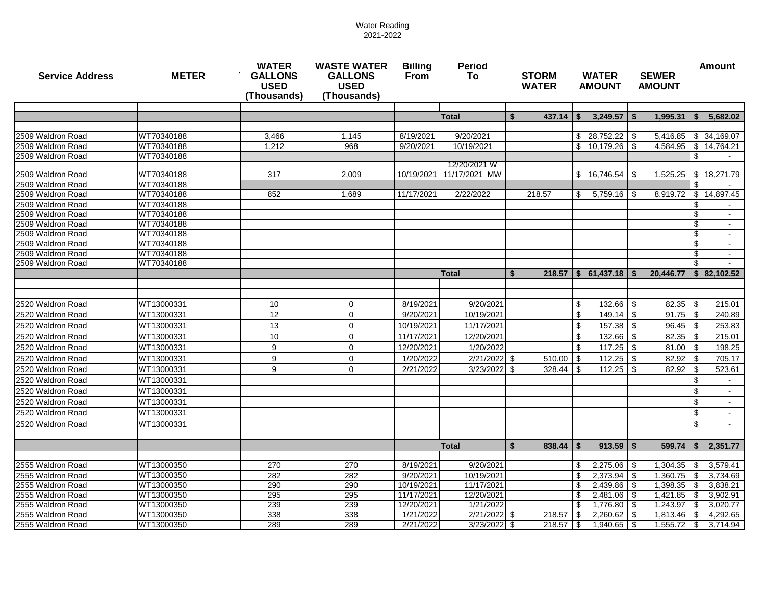| <b>Service Address</b> | <b>METER</b> | <b>WATER</b><br><b>GALLONS</b><br><b>USED</b><br>(Thousands) | <b>WASTE WATER</b><br><b>GALLONS</b><br><b>USED</b><br>(Thousands) | <b>Billing</b><br><b>Period</b><br>From<br>To |                          |     | <b>STORM</b><br><b>WATER</b> |     | <b>WATER</b><br><b>AMOUNT</b> | <b>SEWER</b><br><b>AMOUNT</b> |           |      | <b>Amount</b>             |
|------------------------|--------------|--------------------------------------------------------------|--------------------------------------------------------------------|-----------------------------------------------|--------------------------|-----|------------------------------|-----|-------------------------------|-------------------------------|-----------|------|---------------------------|
|                        |              |                                                              |                                                                    |                                               |                          |     |                              |     |                               |                               |           |      |                           |
|                        |              |                                                              |                                                                    |                                               | <b>Total</b>             | \$  | 437.14                       | \$  | $3,249.57$ $\sqrt{5}$         |                               | 1,995.31  | Ŝ.   | 5,682.02                  |
| 2509 Waldron Road      | WT70340188   | 3.466                                                        | 1.145                                                              | 8/19/2021                                     | 9/20/2021                |     |                              |     | \$28,752.22                   | l Si                          |           |      | $5,416.85$ \ \$ 34,169.07 |
| 2509 Waldron Road      | WT70340188   | 1,212                                                        | 968                                                                | 9/20/2021                                     | 10/19/2021               |     |                              |     | \$10,179.26                   | l \$                          | 4,584.95  |      | \$14,764.21               |
| 2509 Waldron Road      | WT70340188   |                                                              |                                                                    |                                               |                          |     |                              |     |                               |                               |           | \$   |                           |
|                        |              |                                                              |                                                                    |                                               | 12/20/2021 W             |     |                              |     |                               |                               |           |      |                           |
| 2509 Waldron Road      | WT70340188   | 317                                                          | 2,009                                                              |                                               | 10/19/2021 11/17/2021 MW |     |                              |     | \$16,746.54                   | l Si                          | 1,525.25  |      | \$18,271.79               |
| 2509 Waldron Road      | WT70340188   |                                                              |                                                                    |                                               |                          |     |                              |     |                               |                               |           |      |                           |
| 2509 Waldron Road      | WT70340188   | 852                                                          | 1,689                                                              | 11/17/2021                                    | 2/22/2022                |     | 218.57                       | \$  | $5,759.16$ \\$                |                               | 8,919.72  |      | \$14,897.45               |
| 2509 Waldron Road      | WT70340188   |                                                              |                                                                    |                                               |                          |     |                              |     |                               |                               |           | \$   |                           |
| 2509 Waldron Road      | WT70340188   |                                                              |                                                                    |                                               |                          |     |                              |     |                               |                               |           | \$   |                           |
| 2509 Waldron Road      | WT70340188   |                                                              |                                                                    |                                               |                          |     |                              |     |                               |                               |           | \$   |                           |
| 2509 Waldron Road      | WT70340188   |                                                              |                                                                    |                                               |                          |     |                              |     |                               |                               |           | \$   | $\sim$                    |
| 2509 Waldron Road      | WT70340188   |                                                              |                                                                    |                                               |                          |     |                              |     |                               |                               |           | -\$  |                           |
| 2509 Waldron Road      | WT70340188   |                                                              |                                                                    |                                               |                          |     |                              |     |                               |                               |           | \$   | $\sim$                    |
| 2509 Waldron Road      | WT70340188   |                                                              |                                                                    |                                               |                          |     |                              |     |                               |                               |           | \$   |                           |
|                        |              |                                                              |                                                                    |                                               | <b>Total</b>             | S   |                              |     | $218.57$ \$ 61,437.18 \$      |                               | 20,446.77 |      | \$82,102.52               |
|                        |              |                                                              |                                                                    |                                               |                          |     |                              |     |                               |                               |           |      |                           |
| 2520 Waldron Road      | WT13000331   | 10                                                           | $\mathbf 0$                                                        | 8/19/2021                                     | 9/20/2021                |     |                              | \$  | $132.66$ \ \$                 |                               | 82.35     | -\$  | 215.01                    |
| 2520 Waldron Road      | WT13000331   | 12                                                           | $\mathbf 0$                                                        | 9/20/2021                                     | 10/19/2021               |     |                              | \$  |                               |                               | 91.75     | - \$ | 240.89                    |
| 2520 Waldron Road      | WT13000331   | 13                                                           | $\mathbf 0$                                                        | 10/19/2021                                    | 11/17/2021               |     |                              | \$  | 157.38                        | l \$                          | 96.45     | -\$  | 253.83                    |
| 2520 Waldron Road      | WT13000331   | 10                                                           | $\mathbf 0$                                                        | 11/17/2021                                    | 12/20/2021               |     |                              | \$  | $132.66$ \$                   |                               | 82.35     | - \$ | 215.01                    |
| 2520 Waldron Road      | WT13000331   | 9                                                            | $\mathbf 0$                                                        | 12/20/2021                                    | 1/20/2022                |     |                              | \$  | 117.25                        | l \$                          | 81.00     | -\$  | 198.25                    |
| 2520 Waldron Road      | WT13000331   | 9                                                            | $\mathbf 0$                                                        | 1/20/2022                                     | 2/21/2022 \$             |     | 510.00                       | -\$ |                               |                               | 82.92     | - \$ | 705.17                    |
| 2520 Waldron Road      | WT13000331   | 9                                                            | $\Omega$                                                           |                                               | 3/23/2022                | \$  |                              | \$  | 112.25                        | l \$                          | 82.92     | -S   | 523.61                    |
|                        | WT13000331   |                                                              |                                                                    | 2/21/2022                                     |                          |     | 328.44                       |     |                               |                               |           |      |                           |
| 2520 Waldron Road      |              |                                                              |                                                                    |                                               |                          |     |                              |     |                               |                               |           | \$   |                           |
| 2520 Waldron Road      | WT13000331   |                                                              |                                                                    |                                               |                          |     |                              |     |                               |                               |           | \$   |                           |
| 2520 Waldron Road      | WT13000331   |                                                              |                                                                    |                                               |                          |     |                              |     |                               |                               |           | \$   |                           |
| 2520 Waldron Road      | WT13000331   |                                                              |                                                                    |                                               |                          |     |                              |     |                               |                               |           | \$   |                           |
| 2520 Waldron Road      | WT13000331   |                                                              |                                                                    |                                               |                          |     |                              |     |                               |                               |           | \$   | $\sim$                    |
|                        |              |                                                              |                                                                    |                                               |                          |     |                              |     |                               |                               |           |      |                           |
|                        |              |                                                              |                                                                    |                                               | <b>Total</b>             | \$  | 838.44                       | \$  | $913.59$   \$                 |                               | 599.74    | \$   | 2,351.77                  |
| 2555 Waldron Road      | WT13000350   | 270                                                          | 270                                                                | 8/19/2021                                     | 9/20/2021                |     |                              | \$  | $2,275.06$ \$                 |                               | 1,304.35  | - \$ | 3,579.41                  |
| 2555 Waldron Road      | WT13000350   | 282                                                          | 282                                                                | 9/20/2021                                     | 10/19/2021               |     |                              | \$  |                               |                               | 1,360.75  | -\$  | 3,734.69                  |
| 2555 Waldron Road      | WT13000350   | 290                                                          | 290                                                                | 10/19/2021                                    | 11/17/2021               |     |                              | \$  | $2,439.86$ \$                 |                               | 1,398.35  | -\$  | 3,838.21                  |
| 2555 Waldron Road      | WT13000350   | 295                                                          | 295                                                                | 11/17/2021                                    | 12/20/2021               |     |                              | \$  | $2,481.06$ \$                 |                               | 1,421.85  | -\$  | 3,902.91                  |
| 2555 Waldron Road      | WT13000350   | 239                                                          | 239                                                                | 12/20/2021                                    | 1/21/2022                |     |                              | \$  | $1,776.80$ \$                 |                               | 1,243.97  | -\$  | 3,020.77                  |
| 2555 Waldron Road      | WT13000350   | 338                                                          | 338                                                                | 1/21/2022                                     | 2/21/2022 \$             |     | 218.57                       | -\$ |                               |                               | 1,813.46  | - \$ | 4,292.65                  |
| 2555 Waldron Road      | WT13000350   | 289                                                          | 289                                                                | 2/21/2022                                     | 3/23/2022                | -\$ | 218.57                       | \$  | $1,940.65$ \$                 |                               | 1,555.72  | -\$  | 3,714.94                  |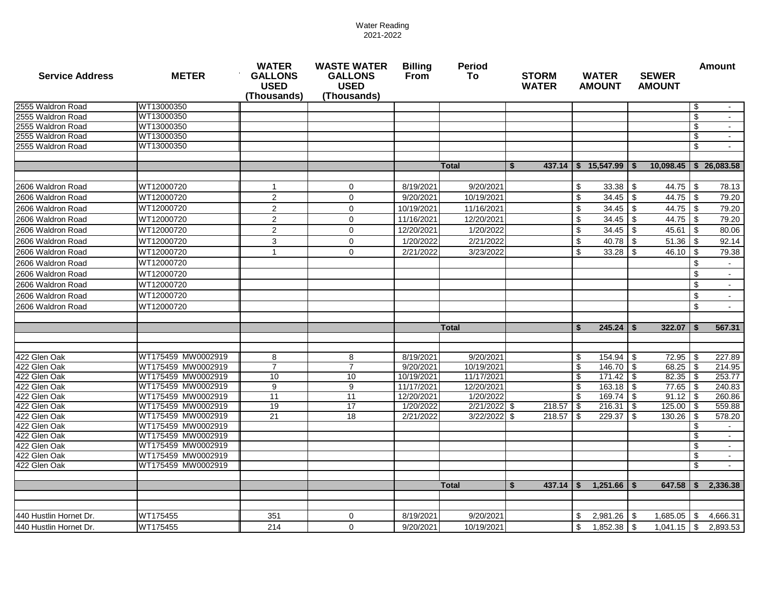| <b>Service Address</b>       | <b>METER</b>                             | <b>WATER</b><br><b>GALLONS</b><br><b>USED</b><br>(Thousands) | <b>WASTE WATER</b><br><b>Billing</b><br><b>Period</b><br><b>GALLONS</b><br>From<br>To:<br><b>STORM</b><br><b>USED</b><br><b>WATER</b><br>(Thousands) |                          |                          |                   | <b>WATER</b><br><b>AMOUNT</b>               | <b>SEWER</b><br><b>AMOUNT</b> | <b>Amount</b>                |
|------------------------------|------------------------------------------|--------------------------------------------------------------|------------------------------------------------------------------------------------------------------------------------------------------------------|--------------------------|--------------------------|-------------------|---------------------------------------------|-------------------------------|------------------------------|
| 2555 Waldron Road            | WT13000350                               |                                                              |                                                                                                                                                      |                          |                          |                   |                                             |                               | -\$                          |
| 2555 Waldron Road            | WT13000350                               |                                                              |                                                                                                                                                      |                          |                          |                   |                                             |                               | \$                           |
| 2555 Waldron Road            | WT13000350                               |                                                              |                                                                                                                                                      |                          |                          |                   |                                             |                               | \$                           |
| 2555 Waldron Road            | WT13000350                               |                                                              |                                                                                                                                                      |                          |                          |                   |                                             |                               | \$                           |
| 2555 Waldron Road            | WT13000350                               |                                                              |                                                                                                                                                      |                          |                          |                   |                                             |                               | \$                           |
|                              |                                          |                                                              |                                                                                                                                                      |                          |                          |                   |                                             |                               |                              |
|                              |                                          |                                                              |                                                                                                                                                      |                          | <b>Total</b>             | $437.14$ S<br>\$. | 15.547.99 S                                 | 10,098.45                     | $S$ 26.083.58                |
| 2606 Waldron Road            | WT12000720                               | $\overline{1}$                                               | $\mathbf 0$                                                                                                                                          | 8/19/2021                | 9/20/2021                |                   | \$<br>$33.38$   \$                          | 44.75                         | -\$<br>78.13                 |
| 2606 Waldron Road            | WT12000720                               | 2                                                            | $\mathbf 0$                                                                                                                                          | 9/20/2021                | 10/19/2021               |                   | \$                                          | 44.75                         | -\$<br>79.20                 |
| 2606 Waldron Road            | WT12000720                               | $\overline{c}$                                               | $\mathbf 0$                                                                                                                                          | 10/19/2021               | 11/16/2021               |                   | \$<br>$34.45$   \$                          | 44.75                         | -\$<br>79.20                 |
| 2606 Waldron Road            | WT12000720                               | 2                                                            | $\mathbf 0$                                                                                                                                          | 11/16/2021               | 12/20/2021               |                   | $\boldsymbol{\mathsf{S}}$<br>$34.45$   \$   | 44.75                         | 79.20<br>\$                  |
| 2606 Waldron Road            | WT12000720                               | $\overline{2}$                                               | $\mathbf 0$                                                                                                                                          | 12/20/2021               | 1/20/2022                |                   | $\boldsymbol{\mathsf{S}}$                   | 45.61                         | 80.06<br>-\$                 |
| 2606 Waldron Road            | WT12000720                               | 3                                                            | $\mathbf 0$                                                                                                                                          | 1/20/2022                | 2/21/2022                |                   | \$<br>$40.78$ \\$                           | 51.36                         | <b>S</b><br>92.14            |
| 2606 Waldron Road            | WT12000720                               | $\mathbf{1}$                                                 | $\mathbf 0$                                                                                                                                          | 2/21/2022                | 3/23/2022                |                   | \$<br>$33.28$ \$                            | 46.10                         | 79.38<br>\$                  |
| 2606 Waldron Road            | WT12000720                               |                                                              |                                                                                                                                                      |                          |                          |                   |                                             |                               | \$                           |
| 2606 Waldron Road            | WT12000720                               |                                                              |                                                                                                                                                      |                          |                          |                   |                                             |                               | \$<br>$\sim$                 |
| 2606 Waldron Road            | WT12000720                               |                                                              |                                                                                                                                                      |                          |                          |                   |                                             |                               | \$                           |
| 2606 Waldron Road            | WT12000720                               |                                                              |                                                                                                                                                      |                          |                          |                   |                                             |                               | \$<br>$\sim$                 |
| 2606 Waldron Road            | WT12000720                               |                                                              |                                                                                                                                                      |                          |                          |                   |                                             |                               | \$                           |
|                              |                                          |                                                              |                                                                                                                                                      |                          |                          |                   |                                             |                               |                              |
|                              |                                          |                                                              |                                                                                                                                                      |                          | <b>Total</b>             |                   | $245.24$   \$<br>\$                         | 322.07                        | 567.31                       |
|                              |                                          |                                                              |                                                                                                                                                      |                          |                          |                   |                                             |                               |                              |
|                              |                                          |                                                              |                                                                                                                                                      |                          |                          |                   |                                             |                               |                              |
| 422 Glen Oak                 | WT175459 MW0002919                       | 8                                                            | 8                                                                                                                                                    | 8/19/2021                | 9/20/2021                |                   | $154.94$ \$<br>\$                           | 72.95                         | 227.89<br>- \$               |
| 422 Glen Oak                 | WT175459 MW0002919<br>WT175459 MW0002919 | $\overline{7}$<br>10                                         | $\overline{7}$<br>10                                                                                                                                 | 9/20/2021                | 10/19/2021               |                   | $\overline{\mathcal{S}}$<br>146.70 \$<br>\$ | 68.25                         | <b>S</b><br>214.95<br>253.77 |
| 422 Glen Oak<br>422 Glen Oak | WT175459 MW0002919                       | 9                                                            | 9                                                                                                                                                    | 10/19/2021<br>11/17/2021 | 11/17/2021<br>12/20/2021 |                   | $171.42$ \$<br>\$<br>$163.18$ \\$           | 82.35<br>77.65                | 240.83<br>-\$                |
| 422 Glen Oak                 | WT175459 MW0002919                       | 11                                                           | 11                                                                                                                                                   | 12/20/2021               | 1/20/2022                |                   | $169.74$ \$<br>S.                           | 91.12                         | 260.86                       |
| 422 Glen Oak                 | WT175459 MW0002919                       | 19                                                           | 17                                                                                                                                                   | 1/20/2022                | 2/21/2022 \$             | 218.57            | \$<br>$216.31$ \$                           | 125.00                        | 559.88<br>- \$               |
| 422 Glen Oak                 | WT175459 MW0002919                       | 21                                                           | 18                                                                                                                                                   | 2/21/2022                | 3/22/2022                | 218.57<br>\$      | 229.37<br>\$                                | 130.26<br>l \$                | 578.20                       |
| 422 Glen Oak                 | WT175459 MW0002919                       |                                                              |                                                                                                                                                      |                          |                          |                   |                                             |                               | \$<br>$\sim$                 |
| 422 Glen Oak                 | WT175459 MW0002919                       |                                                              |                                                                                                                                                      |                          |                          |                   |                                             |                               | -\$                          |
| 422 Glen Oak                 | WT175459 MW0002919                       |                                                              |                                                                                                                                                      |                          |                          |                   |                                             |                               |                              |
| 422 Glen Oak                 | WT175459 MW0002919                       |                                                              |                                                                                                                                                      |                          |                          |                   |                                             |                               | \$                           |
| 422 Glen Oak                 | WT175459 MW0002919                       |                                                              |                                                                                                                                                      |                          |                          |                   |                                             |                               | \$                           |
|                              |                                          |                                                              |                                                                                                                                                      |                          |                          |                   |                                             |                               |                              |
|                              |                                          |                                                              |                                                                                                                                                      |                          | <b>Total</b>             | 437.14<br>\$.     | $1,251.66$ \ \$<br>\$                       | 647.58                        | 2,336.38                     |
|                              |                                          |                                                              |                                                                                                                                                      |                          |                          |                   |                                             |                               |                              |
| 440 Hustlin Hornet Dr.       | WT175455                                 | 351                                                          | $\mathbf 0$                                                                                                                                          | 8/19/2021                | 9/20/2021                |                   | \$                                          | 1,685.05                      | 4,666.31<br>\$.              |
| 440 Hustlin Hornet Dr.       | WT175455                                 | 214                                                          | $\Omega$                                                                                                                                             | 9/20/2021                | 10/19/2021               |                   | \$<br>$1,852.38$ \$                         | 1,041.15                      | \$<br>2,893.53               |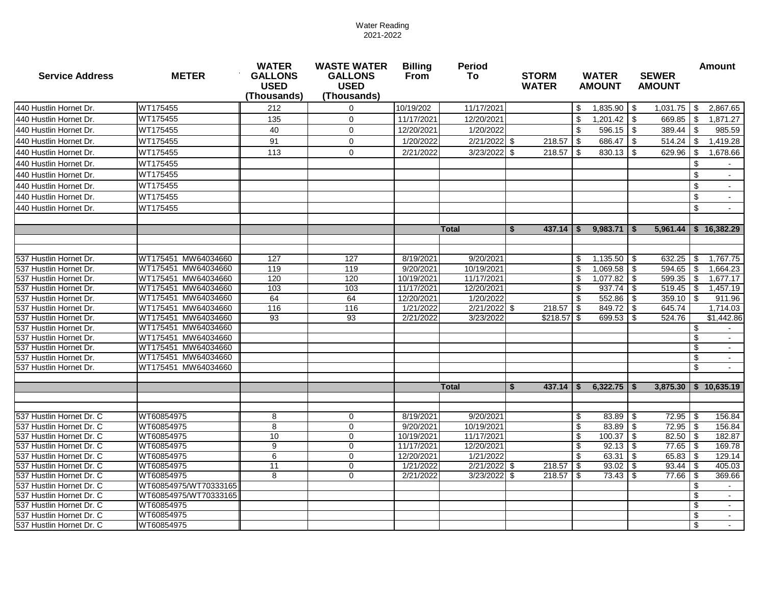| <b>Service Address</b>                               | <b>METER</b>             | <b>WATER</b><br><b>GALLONS</b><br><b>USED</b><br>(Thousands) | <b>WASTE WATER</b><br><b>GALLONS</b><br><b>USED</b><br>(Thousands) | <b>Billing</b><br>From   | <b>Period</b><br>To     | <b>STORM</b><br><b>WATER</b> | <b>WATER</b><br><b>AMOUNT</b> | <b>SEWER</b><br><b>AMOUNT</b>          | <b>Amount</b>             |
|------------------------------------------------------|--------------------------|--------------------------------------------------------------|--------------------------------------------------------------------|--------------------------|-------------------------|------------------------------|-------------------------------|----------------------------------------|---------------------------|
| 440 Hustlin Hornet Dr.                               | WT175455                 | 212                                                          | $\Omega$                                                           | 10/19/202                | 11/17/2021              |                              | 1,835.90<br>\$                | 1,031.75<br>l \$                       | 2,867.65<br>\$            |
| 440 Hustlin Hornet Dr.                               | WT175455                 | 135                                                          | $\mathbf{0}$                                                       | 11/17/2021               | 12/20/2021              |                              | 1,201.42<br>\$                | 669.85<br>l \$                         | \$<br>1,871.27            |
| 440 Hustlin Hornet Dr.                               | WT175455                 | 40                                                           | $\Omega$                                                           | 12/20/2021               | 1/20/2022               |                              | \$<br>596.15                  | 389.44<br>l \$                         | \$<br>985.59              |
| 440 Hustlin Hornet Dr.                               | WT175455                 | 91                                                           | $\mathbf 0$                                                        | 1/20/2022                | $2/21/2022$ \$          | $218.57$ \\$                 | 686.47                        | l \$<br>514.24                         | \$<br>1,419.28            |
| 440 Hustlin Hornet Dr.                               | WT175455                 | 113                                                          | $\mathbf 0$                                                        | 2/21/2022                | $3/23/2022$ \$          | $218.57$ \$                  |                               | 629.96                                 | \$<br>1,678.66            |
| 440 Hustlin Hornet Dr.                               | WT175455                 |                                                              |                                                                    |                          |                         |                              |                               |                                        | \$                        |
| 440 Hustlin Hornet Dr.                               | WT175455                 |                                                              |                                                                    |                          |                         |                              |                               |                                        | \$                        |
| 440 Hustlin Hornet Dr.                               | WT175455                 |                                                              |                                                                    |                          |                         |                              |                               |                                        | \$                        |
| 440 Hustlin Hornet Dr.                               | WT175455                 |                                                              |                                                                    |                          |                         |                              |                               |                                        | $\sqrt[6]{3}$             |
|                                                      | WT175455                 |                                                              |                                                                    |                          |                         |                              |                               |                                        | \$                        |
| 440 Hustlin Hornet Dr.                               |                          |                                                              |                                                                    |                          |                         |                              |                               |                                        |                           |
|                                                      |                          |                                                              |                                                                    |                          | <b>Total</b>            | 437.14<br>-S                 | 9,983.71<br>-S                | l \$                                   | $5,961.44$   \$ 16,382.29 |
|                                                      |                          |                                                              |                                                                    |                          |                         |                              |                               |                                        |                           |
| 537 Hustlin Hornet Dr.                               | WT175451 MW64034660      | 127                                                          | 127                                                                | 8/19/2021                | 9/20/2021               |                              | $1,135.50$ \$<br>\$           | 632.25                                 | \$<br>1,767.75            |
| 537 Hustlin Hornet Dr.                               | WT175451 MW64034660      | 119                                                          | 119                                                                | 9/20/2021                | 10/19/2021              |                              | $1,069.58$ \$<br>\$           | $594.65$ \$                            | 1,664.23                  |
| 537 Hustlin Hornet Dr.                               | WT175451 MW64034660      | 120                                                          | 120                                                                | 10/19/2021               | 11/17/2021              |                              | 1,077.82<br>\$                | 599.35<br>l \$                         | \$<br>1,677.17            |
| 537 Hustlin Hornet Dr.                               | WT175451 MW64034660      | 103                                                          | 103                                                                | 11/17/2021               | 12/20/2021              |                              | \$<br>937.74                  | -\$<br>519.45                          | \$<br>1,457.19            |
| 537 Hustlin Hornet Dr.                               | WT175451 MW64034660      | 64                                                           | 64                                                                 | 12/20/2021               | 1/20/2022               |                              | \$<br>552.86                  | l \$<br>359.10                         | \$<br>911.96              |
| 537 Hustlin Hornet Dr.                               | WT175451 MW64034660      | 116                                                          | 116                                                                | 1/21/2022                | 2/21/2022               | 218.57<br>l S                | 849.72<br>l \$                | 645.74<br>l \$                         | 1,714.03                  |
| 537 Hustlin Hornet Dr.                               | WT175451 MW64034660      | 93                                                           | 93                                                                 | 2/21/2022                | 3/23/2022               | $$218.57$ \\$                | 699.53                        | 524.76<br>l \$                         | \$1,442.86                |
| 537 Hustlin Hornet Dr.                               | WT175451 MW64034660      |                                                              |                                                                    |                          |                         |                              |                               |                                        | \$                        |
| 537 Hustlin Hornet Dr.                               | WT175451 MW64034660      |                                                              |                                                                    |                          |                         |                              |                               |                                        | \$                        |
| 537 Hustlin Hornet Dr.                               | WT175451 MW64034660      |                                                              |                                                                    |                          |                         |                              |                               |                                        | \$<br>$\sim$              |
| 537 Hustlin Hornet Dr.                               | WT175451 MW64034660      |                                                              |                                                                    |                          |                         |                              |                               |                                        | \$                        |
| 537 Hustlin Hornet Dr.                               | WT175451 MW64034660      |                                                              |                                                                    |                          |                         |                              |                               |                                        | \$                        |
|                                                      |                          |                                                              |                                                                    |                          | <b>Total</b>            | $437.14$   \$<br>\$.         | $6,322.75$ \$                 |                                        | 3,875.30 \$ 10,635.19     |
|                                                      |                          |                                                              |                                                                    |                          |                         |                              |                               |                                        |                           |
| 537 Hustlin Hornet Dr. C                             | WT60854975               | 8                                                            | $\mathbf 0$                                                        | 8/19/2021                | 9/20/2021               |                              | $83.89$ \$<br>\$              | 72.95                                  | 156.84<br>-\$             |
| 537 Hustlin Hornet Dr. C                             | WT60854975<br>WT60854975 | 8                                                            | $\Omega$<br>$\Omega$                                               | 9/20/2021                | 10/19/2021              |                              | \$<br>83.89                   | $72.95$ \$<br>l \$                     | 156.84<br>- \$            |
| 537 Hustlin Hornet Dr. C                             | WT60854975               | 10                                                           | $\mathbf 0$                                                        | 10/19/2021               | 11/17/2021              |                              | \$<br>100.37<br>\$            | 82.50<br>-\$<br>l \$                   | 182.87                    |
| 537 Hustlin Hornet Dr. C<br>537 Hustlin Hornet Dr. C | WT60854975               | 9<br>6                                                       | $\Omega$                                                           | 11/17/2021<br>12/20/2021 | 12/20/2021<br>1/21/2022 |                              | 92.13<br>63.31<br>\$          | $77.65$ $\frac{1}{3}$<br>l \$<br>65.83 | 169.78<br>129.14<br>-\$   |
| 537 Hustlin Hornet Dr. C                             | WT60854975               | 11                                                           | $\mathbf 0$                                                        | 1/21/2022                | 2/21/2022 \$            | 218.57                       | 93.02<br>l \$                 | 93.44<br>l \$                          | 405.03<br>-\$             |
| 537 Hustlin Hornet Dr. C                             | WT60854975               | 8                                                            | $\mathbf 0$                                                        | 2/21/2022                | 3/23/2022               | \$<br>218.57                 | <b>\$</b><br>73.43            | 77.66<br>-\$                           | 369.66<br>\$              |
| 537 Hustlin Hornet Dr. C                             | WT60854975/WT70333165    |                                                              |                                                                    |                          |                         |                              |                               |                                        | \$                        |
| 537 Hustlin Hornet Dr. C                             | WT60854975/WT70333165    |                                                              |                                                                    |                          |                         |                              |                               |                                        | \$                        |
| 537 Hustlin Hornet Dr. C                             | WT60854975               |                                                              |                                                                    |                          |                         |                              |                               |                                        | \$<br>$\sim$              |
| 537 Hustlin Hornet Dr. C                             | WT60854975               |                                                              |                                                                    |                          |                         |                              |                               |                                        | \$                        |
| 537 Hustlin Hornet Dr. C                             | WT60854975               |                                                              |                                                                    |                          |                         |                              |                               |                                        | $\sqrt[6]{3}$             |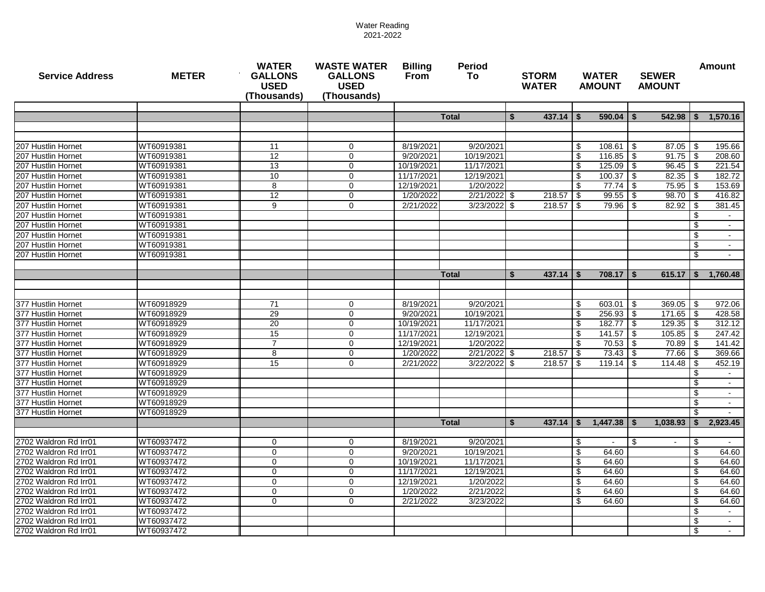| <b>Service Address</b>                   | <b>METER</b>             | <b>WATER</b><br><b>GALLONS</b><br><b>USED</b><br>(Thousands) | <b>WASTE WATER</b><br><b>GALLONS</b><br><b>USED</b><br>(Thousands) | <b>Billing</b><br><b>Period</b><br>From<br>To. |                         |      | <b>STORM</b><br><b>WATER</b> |                         | <b>WATER</b><br><b>AMOUNT</b> | <b>SEWER</b><br><b>AMOUNT</b> |                 |              | <b>Amount</b>    |
|------------------------------------------|--------------------------|--------------------------------------------------------------|--------------------------------------------------------------------|------------------------------------------------|-------------------------|------|------------------------------|-------------------------|-------------------------------|-------------------------------|-----------------|--------------|------------------|
|                                          |                          |                                                              |                                                                    |                                                |                         |      |                              |                         |                               |                               |                 |              |                  |
|                                          |                          |                                                              |                                                                    |                                                | <b>Total</b>            | \$   | 437.14                       |                         | $590.04$ \ \$                 |                               | 542.98          | \$           | 1,570.16         |
|                                          |                          |                                                              |                                                                    |                                                |                         |      |                              |                         |                               |                               |                 |              |                  |
| 207 Hustlin Hornet                       | WT60919381               | 11                                                           | $\mathbf 0$                                                        | 8/19/2021                                      | 9/20/2021               |      |                              | \$                      |                               |                               | 87.05           | -\$          | 195.66           |
| 207 Hustlin Hornet                       | WT60919381               | 12                                                           | $\mathbf 0$                                                        | 9/20/2021                                      | 10/19/2021              |      |                              | \$                      | $116.85$ \$                   |                               | 91.75           | <b>S</b>     | 208.60           |
| 207 Hustlin Hornet                       | WT60919381               | 13                                                           | $\mathbf 0$                                                        | 10/19/2021                                     | 11/17/2021              |      |                              | \$                      | $125.09$ \$                   |                               | 96.45           | -\$          | 221.54           |
| 207 Hustlin Hornet                       | WT60919381               | 10                                                           | $\mathbf 0$                                                        | 11/17/2021                                     | 12/19/2021              |      |                              | $\sqrt[6]{\frac{1}{2}}$ | $100.37$ \$                   |                               | 82.35           | - \$         | 182.72           |
| 207 Hustlin Hornet                       | WT60919381               | 8                                                            | $\mathbf 0$                                                        | 12/19/2021                                     | 1/20/2022               |      |                              | S.                      | $77.74$ $\frac{1}{9}$         |                               | 75.95           |              | 153.69           |
| 207 Hustlin Hornet                       | WT60919381               | 12                                                           | $\mathbf 0$                                                        | 1/20/2022                                      | 2/21/2022 \$            |      | 218.57                       | -\$                     | $99.55$ \$                    |                               | 98.70           | - \$         | 416.82           |
| 207 Hustlin Hornet                       | WT60919381               | 9                                                            | $\Omega$                                                           | 2/21/2022                                      | $3/23/2022$ \$          |      | 218.57                       | -\$                     | $79.96$ \ \$                  |                               | 82.92           | \$           | 381.45           |
| 207 Hustlin Hornet                       | WT60919381               |                                                              |                                                                    |                                                |                         |      |                              |                         |                               |                               |                 | ß.           |                  |
| 207 Hustlin Hornet                       | WT60919381               |                                                              |                                                                    |                                                |                         |      |                              |                         |                               |                               |                 |              |                  |
| 207 Hustlin Hornet                       | WT60919381               |                                                              |                                                                    |                                                |                         |      |                              |                         |                               |                               |                 |              |                  |
| 207 Hustlin Hornet                       | WT60919381               |                                                              |                                                                    |                                                |                         |      |                              |                         |                               |                               |                 |              |                  |
| 207 Hustlin Hornet                       | WT60919381               |                                                              |                                                                    |                                                |                         |      |                              |                         |                               |                               |                 | \$           |                  |
|                                          |                          |                                                              |                                                                    |                                                |                         |      |                              |                         |                               |                               |                 |              |                  |
|                                          |                          |                                                              |                                                                    |                                                | <b>Total</b>            | \$   | 437.14                       |                         | $708.17$ $\pm$ \$             |                               | 615.17          | \$           | 1.760.48         |
|                                          |                          |                                                              |                                                                    |                                                |                         |      |                              |                         |                               |                               |                 |              |                  |
|                                          |                          |                                                              |                                                                    |                                                |                         |      |                              |                         |                               |                               |                 |              |                  |
| 377 Hustlin Hornet                       | WT60918929               | 71                                                           | 0                                                                  | 8/19/2021                                      | 9/20/2021               |      |                              | \$                      | $603.01$ \$                   |                               | 369.05          | l \$         | 972.06           |
| 377 Hustlin Hornet                       | WT60918929               | 29<br>20                                                     | $\mathbf 0$                                                        | 9/20/2021                                      | 10/19/2021              |      |                              | \$                      | $256.93$ \$                   |                               | 171.65          | - \$         | 428.58           |
| 377 Hustlin Hornet<br>377 Hustlin Hornet | WT60918929               |                                                              | 0                                                                  | 10/19/2021                                     | 11/17/2021              |      |                              | \$                      | $182.77$ \$                   |                               | 129.35          | - \$         | 312.12           |
| 377 Hustlin Hornet                       | WT60918929<br>WT60918929 | 15<br>$\overline{7}$                                         | $\mathbf{0}$<br>$\mathbf 0$                                        | 11/17/2021<br>12/19/2021                       | 12/19/2021<br>1/20/2022 |      |                              | -\$<br>-\$              |                               |                               | 105.85<br>70.89 | - \$<br>- \$ | 247.42<br>141.42 |
| 377 Hustlin Hornet                       | WT60918929               | 8                                                            | $\mathbf 0$                                                        | 1/20/2022                                      | 2/21/2022               | l \$ | 218.57                       | \$                      |                               |                               | 77.66           |              | 369.66           |
| 377 Hustlin Hornet                       | WT60918929               | 15                                                           | $\mathbf 0$                                                        | 2/21/2022                                      | 3/22/2022               | l \$ | 218.57                       | S.                      |                               |                               | 114.48          |              | 452.19           |
| 377 Hustlin Hornet                       | WT60918929               |                                                              |                                                                    |                                                |                         |      |                              |                         |                               |                               |                 |              |                  |
| 377 Hustlin Hornet                       | WT60918929               |                                                              |                                                                    |                                                |                         |      |                              |                         |                               |                               |                 |              | $\sim$           |
| 377 Hustlin Hornet                       | WT60918929               |                                                              |                                                                    |                                                |                         |      |                              |                         |                               |                               |                 | \$           |                  |
| 377 Hustlin Hornet                       | WT60918929               |                                                              |                                                                    |                                                |                         |      |                              |                         |                               |                               |                 | \$           | $\sim$           |
| 377 Hustlin Hornet                       | WT60918929               |                                                              |                                                                    |                                                |                         |      |                              |                         |                               |                               |                 | \$           |                  |
|                                          |                          |                                                              |                                                                    |                                                | <b>Total</b>            | \$   | 437.14                       | S                       | $1,447.38$ $\frac{1}{5}$      |                               | 1,038.93        | \$           | 2,923.45         |
|                                          |                          |                                                              |                                                                    |                                                |                         |      |                              |                         |                               |                               |                 |              |                  |
| 2702 Waldron Rd Irr01                    | WT60937472               | $\mathbf 0$                                                  | 0                                                                  | 8/19/2021                                      | 9/20/2021               |      |                              | \$                      | $\sim$                        | -\$                           |                 | -\$          |                  |
| 2702 Waldron Rd Irr01                    | WT60937472               | $\mathbf 0$                                                  | $\mathbf 0$                                                        | 9/20/2021                                      | 10/19/2021              |      |                              | -\$                     | 64.60                         |                               |                 | \$           | 64.60            |
| 2702 Waldron Rd Irr01                    | WT60937472               | $\Omega$                                                     | $\Omega$                                                           | 10/19/2021                                     | 11/17/2021              |      |                              | \$                      | 64.60                         |                               |                 | \$           | 64.60            |
| 2702 Waldron Rd Irr01                    | WT60937472               | $\mathbf 0$                                                  | $\mathbf 0$                                                        | 11/17/2021                                     | 12/19/2021              |      |                              | \$                      | 64.60                         |                               |                 |              | 64.60            |
| 2702 Waldron Rd Irr01                    | WT60937472               | $\Omega$                                                     | $\mathbf 0$                                                        | 12/19/2021                                     | 1/20/2022               |      |                              | \$                      | 64.60                         |                               |                 |              | 64.60            |
| 2702 Waldron Rd Irr01                    | WT60937472               | $\mathbf 0$                                                  | $\mathbf 0$                                                        | 1/20/2022                                      | 2/21/2022               |      |                              | \$                      | 64.60                         |                               |                 | \$           | 64.60            |
| 2702 Waldron Rd Irr01                    | WT60937472               | $\mathbf 0$                                                  | $\mathbf 0$                                                        | 2/21/2022                                      | 3/23/2022               |      |                              | \$                      | 64.60                         |                               |                 | \$           | 64.60            |
| 2702 Waldron Rd Irr01                    | WT60937472               |                                                              |                                                                    |                                                |                         |      |                              |                         |                               |                               |                 | \$           |                  |
| 2702 Waldron Rd Irr01                    | WT60937472               |                                                              |                                                                    |                                                |                         |      |                              |                         |                               |                               |                 | \$           | $\sim$           |
| 2702 Waldron Rd Irr01                    | WT60937472               |                                                              |                                                                    |                                                |                         |      |                              |                         |                               |                               |                 | \$           | $\sim$           |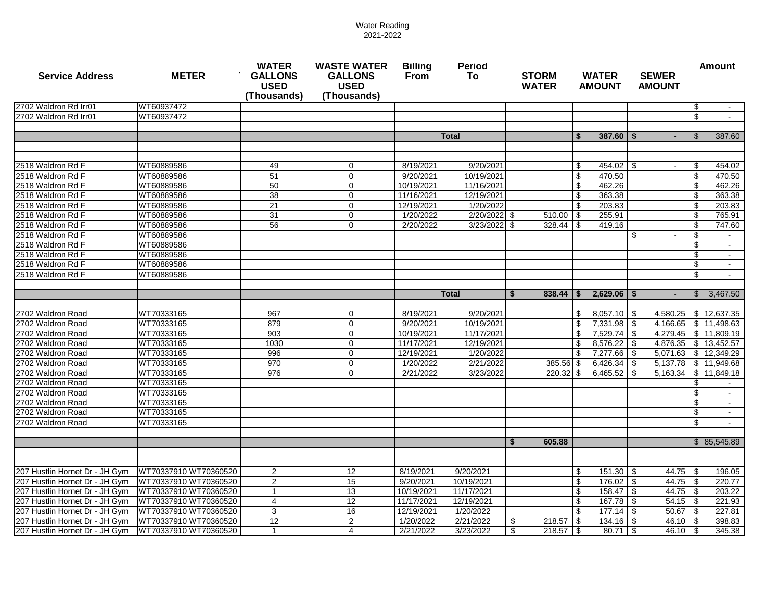| <b>Service Address</b>                                           | <b>METER</b>                                   | <b>WATER</b><br><b>GALLONS</b><br><b>USED</b><br>(Thousands) | <b>WASTE WATER</b><br><b>GALLONS</b><br><b>USED</b><br>(Thousands) | <b>Billing</b><br>From | <b>Period</b><br>To:    | <b>STORM</b><br><b>WATER</b> | <b>WATER</b><br><b>AMOUNT</b>       | <b>SEWER</b><br><b>AMOUNT</b> |                | <b>Amount</b>         |
|------------------------------------------------------------------|------------------------------------------------|--------------------------------------------------------------|--------------------------------------------------------------------|------------------------|-------------------------|------------------------------|-------------------------------------|-------------------------------|----------------|-----------------------|
| 2702 Waldron Rd Irr01                                            | WT60937472                                     |                                                              |                                                                    |                        |                         |                              |                                     |                               | -\$            |                       |
| 2702 Waldron Rd Irr01                                            | WT60937472                                     |                                                              |                                                                    |                        |                         |                              |                                     |                               | \$             |                       |
|                                                                  |                                                |                                                              |                                                                    |                        |                         |                              |                                     |                               |                |                       |
|                                                                  |                                                |                                                              |                                                                    |                        | <b>Total</b>            |                              | $387.60$   \$<br>\$                 |                               | $\mathfrak{L}$ | 387.60                |
|                                                                  |                                                |                                                              |                                                                    |                        |                         |                              |                                     |                               |                |                       |
|                                                                  |                                                |                                                              |                                                                    |                        |                         |                              |                                     |                               |                |                       |
| 2518 Waldron Rd F                                                | WT60889586                                     | 49                                                           | 0                                                                  | 8/19/2021              | 9/20/2021               |                              | \$                                  |                               | \$             | 454.02                |
| 2518 Waldron Rd F                                                | WT60889586                                     | 51                                                           | $\mathbf 0$                                                        | 9/20/2021              | 10/19/2021              |                              | $\boldsymbol{\mathsf{S}}$<br>470.50 |                               | \$             | 470.50                |
| 2518 Waldron Rd F                                                | WT60889586                                     | 50                                                           | $\mathbf 0$                                                        | 10/19/2021             | 11/16/2021              |                              | \$<br>462.26                        |                               | -\$            | 462.26                |
| 2518 Waldron Rd F                                                | WT60889586                                     | 38                                                           | $\mathbf 0$                                                        | 11/16/2021             | 12/19/2021              |                              | \$<br>363.38                        |                               | \$             | 363.38                |
| 2518 Waldron Rd F                                                | WT60889586                                     | 21                                                           | $\mathbf 0$                                                        | 12/19/2021             | 1/20/2022               |                              | \$<br>203.83                        |                               | \$             | 203.83                |
| 2518 Waldron Rd F                                                | WT60889586                                     | 31                                                           | $\mathbf 0$                                                        | 1/20/2022              | 2/20/2022 \$            | $510.00$ \ \$                | 255.91                              |                               | \$             | 765.91                |
| 2518 Waldron Rd F                                                | WT60889586                                     | 56                                                           | $\mathbf 0$                                                        | 2/20/2022              | 3/23/2022               | \$<br>328.44                 | \$<br>419.16                        |                               | \$             | 747.60                |
| 2518 Waldron Rd F                                                | WT60889586                                     |                                                              |                                                                    |                        |                         |                              |                                     | \$                            | \$             |                       |
| 2518 Waldron Rd F                                                | WT60889586                                     |                                                              |                                                                    |                        |                         |                              |                                     |                               | -\$            |                       |
| 2518 Waldron Rd F                                                | WT60889586                                     |                                                              |                                                                    |                        |                         |                              |                                     |                               | \$             |                       |
| 2518 Waldron Rd F                                                | WT60889586                                     |                                                              |                                                                    |                        |                         |                              |                                     |                               | \$             |                       |
| 2518 Waldron Rd F                                                | WT60889586                                     |                                                              |                                                                    |                        |                         |                              |                                     |                               | \$             |                       |
|                                                                  |                                                |                                                              |                                                                    |                        |                         |                              |                                     |                               |                |                       |
|                                                                  |                                                |                                                              |                                                                    |                        | <b>Total</b>            | 838.44<br>Ŝ.                 | $2,629.06$ \$<br>\$                 |                               | $\mathfrak{L}$ | 3,467.50              |
|                                                                  |                                                |                                                              |                                                                    |                        |                         |                              |                                     |                               |                |                       |
| 2702 Waldron Road                                                | WT70333165                                     | 967                                                          | $\mathbf 0$                                                        | 8/19/2021              | 9/20/2021               |                              | \$<br>$8.057.10$ S                  | 4.580.25                      |                | \$12,637,35           |
| 2702 Waldron Road                                                | WT70333165                                     | 879                                                          | $\mathbf 0$                                                        | 9/20/2021              | 10/19/2021              |                              | \$<br>$7,331.98$ \$                 | 4,166.65                      |                | \$11,498.63           |
| 2702 Waldron Road                                                | WT70333165                                     | 903                                                          | $\mathbf 0$                                                        | 10/19/2021             | 11/17/2021              |                              | $7.529.74$ \\$<br>\$                | 4.279.45                      |                | \$11,809.19           |
| 2702 Waldron Road                                                | WT70333165                                     | 1030                                                         | $\mathbf 0$                                                        | 11/17/2021             | 12/19/2021              |                              | \$<br>$8,576.22$ \$                 |                               |                | 4,876.35 \$ 13,452.57 |
| 2702 Waldron Road                                                | WT70333165                                     | 996                                                          | $\Omega$                                                           | 12/19/2021             | 1/20/2022               |                              | \$<br>7,277.66 \$                   | 5,071.63                      |                | \$12,349.29           |
| 2702 Waldron Road                                                | WT70333165                                     | 970                                                          | $\mathbf 0$                                                        | 1/20/2022              | 2/21/2022               | 385.56                       | \$<br>6,426.34                      | l \$                          |                | 5,137.78 \$ 11,949.68 |
| 2702 Waldron Road                                                | WT70333165                                     | 976                                                          | $\Omega$                                                           | 2/21/2022              | 3/23/2022               | 220.32 \$                    | 6,465.52                            | 5,163.34<br>l \$              |                | \$11,849.18           |
| 2702 Waldron Road                                                | WT70333165                                     |                                                              |                                                                    |                        |                         |                              |                                     |                               | \$             |                       |
| 2702 Waldron Road                                                | WT70333165                                     |                                                              |                                                                    |                        |                         |                              |                                     |                               | \$             |                       |
| 2702 Waldron Road                                                | WT70333165                                     |                                                              |                                                                    |                        |                         |                              |                                     |                               | \$             |                       |
| 2702 Waldron Road                                                | WT70333165                                     |                                                              |                                                                    |                        |                         |                              |                                     |                               | \$             |                       |
| 2702 Waldron Road                                                | WT70333165                                     |                                                              |                                                                    |                        |                         |                              |                                     |                               | \$             | $\sim$                |
|                                                                  |                                                |                                                              |                                                                    |                        |                         |                              |                                     |                               |                |                       |
|                                                                  |                                                |                                                              |                                                                    |                        |                         | 605.88<br>\$                 |                                     |                               |                | \$ 85,545.89          |
|                                                                  |                                                |                                                              |                                                                    |                        |                         |                              |                                     |                               |                |                       |
|                                                                  |                                                |                                                              |                                                                    |                        |                         |                              |                                     |                               |                |                       |
| 207 Hustlin Hornet Dr - JH Gym<br>207 Hustlin Hornet Dr - JH Gym | WT70337910 WT70360520<br>WT70337910 WT70360520 | 2<br>2                                                       | 12<br>15                                                           | 8/19/2021<br>9/20/2021 | 9/20/2021<br>10/19/2021 |                              | $151.30$ \ \$<br>\$<br>\$<br>176.02 | 44.75<br>44.75                | -\$            | 196.05<br>220.77      |
| 207 Hustlin Hornet Dr - JH Gym                                   | WT70337910 WT70360520                          | $\mathbf{1}$                                                 | 13                                                                 | 10/19/2021             | 11/17/2021              |                              | \$<br>158.47                        | l \$<br>44.75                 | - \$           |                       |
|                                                                  |                                                |                                                              |                                                                    |                        |                         |                              |                                     | l \$                          | -\$            | 203.22                |
| 207 Hustlin Hornet Dr - JH Gym                                   | WT70337910 WT70360520<br>WT70337910 WT70360520 | $\overline{4}$                                               | $\overline{12}$                                                    | 11/17/2021             | 12/19/2021<br>1/20/2022 |                              | \$<br>$167.78$ \$<br>$177.14$ \\$   | 54.15<br>50.67                | -\$            | 221.93<br>227.81      |
| 207 Hustlin Hornet Dr - JH Gym                                   |                                                | 3                                                            | 16                                                                 | 12/19/2021             |                         |                              | \$                                  |                               | -\$            |                       |
| 207 Hustlin Hornet Dr - JH Gym                                   | WT70337910 WT70360520<br>WT70337910 WT70360520 | 12                                                           | $\mathbf{2}$<br>$\overline{4}$                                     | 1/20/2022              | 2/21/2022<br>3/23/2022  | \$                           | $134.16$ \\$                        | $46.10$ \ \$                  |                | 398.83<br>345.38      |
| 207 Hustlin Hornet Dr - JH Gym                                   |                                                | $\mathbf{1}$                                                 |                                                                    | 2/21/2022              |                         | $218.57$ \$<br>\$            | $80.71$ \\$                         | 46.10                         | - \$           |                       |